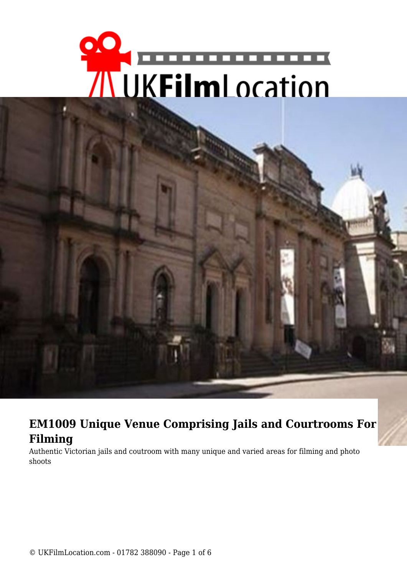# **SPA DELIVERED SERVICE**

# **EM1009 Unique Venue Comprising Jails and Courtrooms For Filming**

Authentic Victorian jails and coutroom with many unique and varied areas for filming and photo shoots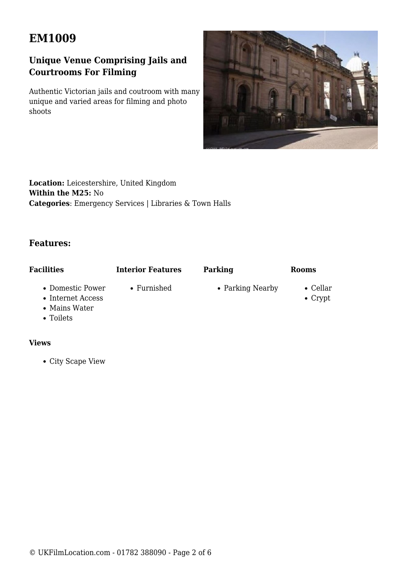# **EM1009**

## **Unique Venue Comprising Jails and Courtrooms For Filming**

Authentic Victorian jails and coutroom with many unique and varied areas for filming and photo shoots



**Location:** Leicestershire, United Kingdom **Within the M25:** No **Categories**: Emergency Services | Libraries & Town Halls

## **Features:**

| Facilities                                                                  | <b>Interior Features</b> | Parking          | <b>Rooms</b>                        |
|-----------------------------------------------------------------------------|--------------------------|------------------|-------------------------------------|
| • Domestic Power<br>• Internet Access<br>$\bullet$ Mains Water<br>• Toilets | $\bullet$ Furnished      | • Parking Nearby | $\bullet$ Cellar<br>$\bullet$ Crypt |

#### **Views**

City Scape View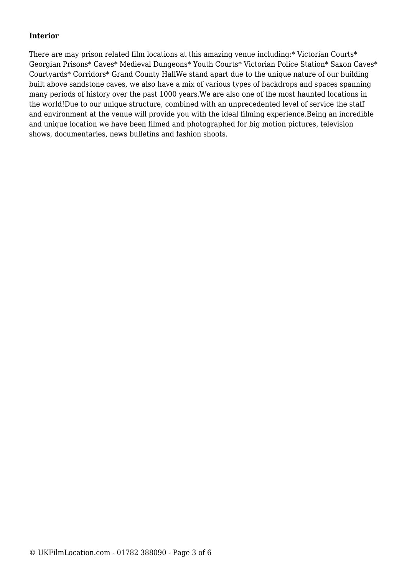### **Interior**

There are may prison related film locations at this amazing venue including:\* Victorian Courts\* Georgian Prisons\* Caves\* Medieval Dungeons\* Youth Courts\* Victorian Police Station\* Saxon Caves\* Courtyards\* Corridors\* Grand County HallWe stand apart due to the unique nature of our building built above sandstone caves, we also have a mix of various types of backdrops and spaces spanning many periods of history over the past 1000 years.We are also one of the most haunted locations in the world!Due to our unique structure, combined with an unprecedented level of service the staff and environment at the venue will provide you with the ideal filming experience.Being an incredible and unique location we have been filmed and photographed for big motion pictures, television shows, documentaries, news bulletins and fashion shoots.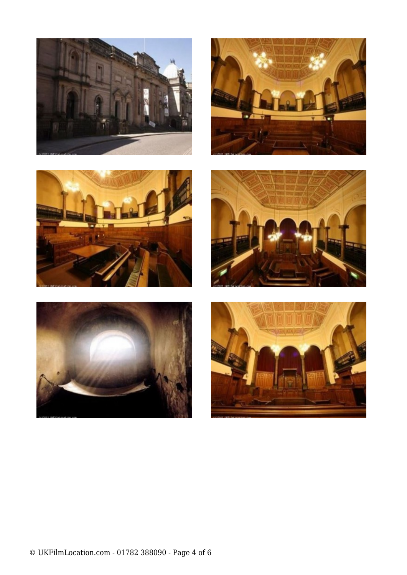









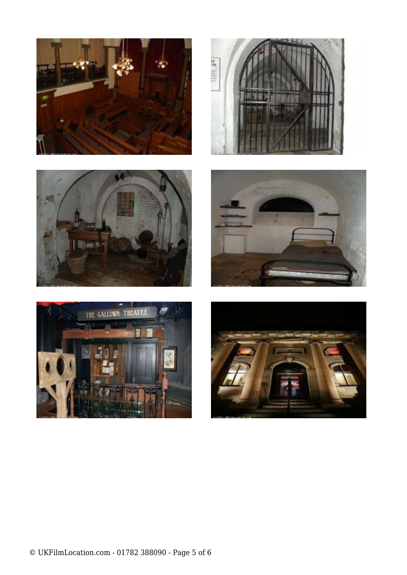